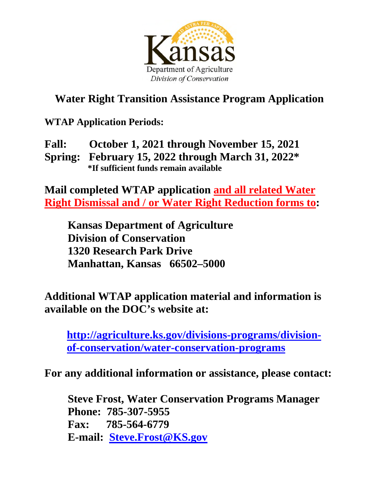

## **Water Right Transition Assistance Program Application**

**WTAP Application Periods:** 

**Fall: October 1, 2021 through November 15, 2021 Spring: February 15, 2022 through March 31, 2022\* \*If sufficient funds remain available** 

**Mail completed WTAP application and all related Water Right Dismissal and / or Water Right Reduction forms to:** 

**Kansas Department of Agriculture Division of Conservation 1320 Research Park Drive Manhattan, Kansas 66502–5000**

**Additional WTAP application material and information is available on the DOC's website at:** 

**[http://agriculture.ks.gov/divisions-programs/division](http://agriculture.ks.gov/divisions-programs/division-of-conservation/water-conservation-programs)[of-conservation/water-conservation-programs](http://agriculture.ks.gov/divisions-programs/division-of-conservation/water-conservation-programs)**

**For any additional information or assistance, please contact:** 

 **Steve Frost, Water Conservation Programs Manager Phone: 785-307-5955 Fax: 785-564-6779 E-mail: [Steve.Frost@KS.gov](mailto:Steve.Frost@KS.gov)**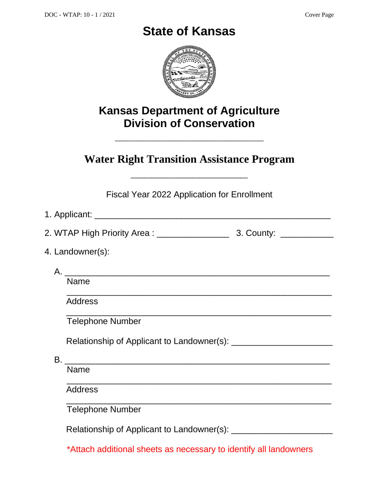## **State of Kansas**



## **Kansas Department of Agriculture Division of Conservation**

**\_\_\_\_\_\_\_\_\_\_\_\_\_\_\_\_\_\_\_\_\_\_\_\_** 

**Water Right Transition Assistance Program** 

**\_\_\_\_\_\_\_\_\_\_\_\_\_\_\_\_\_** 

Fiscal Year 2022 Application for Enrollment

| 4. Landowner(s):                                                                        |  |
|-----------------------------------------------------------------------------------------|--|
|                                                                                         |  |
| <b>Name</b>                                                                             |  |
| <b>Address</b>                                                                          |  |
| <b>Telephone Number</b>                                                                 |  |
|                                                                                         |  |
|                                                                                         |  |
| <b>Name</b>                                                                             |  |
| <u> 1989 - Jan James James Barnett, amerikan berlindar (h. 1989).</u><br><b>Address</b> |  |
| <u> 1989 - Johann Stoff, amerikansk politiker (* 1908)</u><br><b>Telephone Number</b>   |  |
|                                                                                         |  |
| *Attach additional sheets as necessary to identify all landowners                       |  |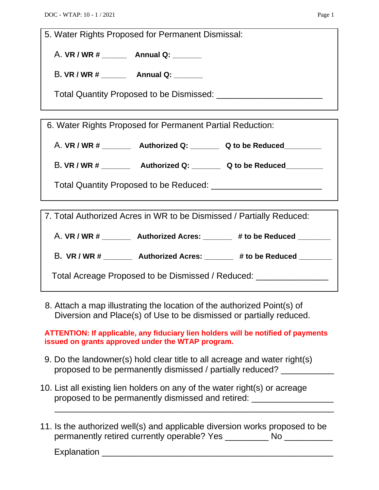5. Water Rights Proposed for Permanent Dismissal:

A. **VR / WR # \_\_\_\_\_\_ Annual Q: \_\_\_\_\_\_\_** 

B**. VR / WR # \_\_\_\_\_\_ Annual Q: \_\_\_\_\_\_\_** 

Total Quantity Proposed to be Dismissed: \_\_\_\_\_\_\_\_\_\_\_\_\_\_\_\_\_\_\_\_\_\_

6. Water Rights Proposed for Permanent Partial Reduction:

A. **VR / WR # \_\_\_\_\_\_\_ Authorized Q: \_\_\_\_\_\_\_ Q to be Reduced\_\_\_\_\_\_\_\_\_** 

B**. VR / WR # \_\_\_\_\_\_\_ Authorized Q: \_\_\_\_\_\_\_ Q to be Reduced\_\_\_\_\_\_\_\_\_** 

Total Quantity Proposed to be Reduced: \_\_\_\_\_\_\_\_\_\_\_\_\_\_\_\_\_\_\_\_\_\_\_

7. Total Authorized Acres in WR to be Dismissed / Partially Reduced:

A. **VR / WR # \_\_\_\_\_\_\_ Authorized Acres: \_\_\_\_\_\_\_ # to be Reduced \_\_\_\_\_\_\_\_** 

B**. VR / WR # \_\_\_\_\_\_\_ Authorized Acres: \_\_\_\_\_\_\_ # to be Reduced \_\_\_\_\_\_\_\_** 

Total Acreage Proposed to be Dismissed / Reduced: \_\_\_\_\_\_\_\_\_\_\_\_\_\_\_\_\_\_\_\_\_\_\_\_\_\_\_\_\_\_

 8. Attach a map illustrating the location of the authorized Point(s) of Diversion and Place(s) of Use to be dismissed or partially reduced.

**ATTENTION: If applicable, any fiduciary lien holders will be notified of payments issued on grants approved under the WTAP program.** 

- 9. Do the landowner(s) hold clear title to all acreage and water right(s) proposed to be permanently dismissed / partially reduced? \_\_\_\_\_\_\_\_\_\_
- 10. List all existing lien holders on any of the water right(s) or acreage proposed to be permanently dismissed and retired: \_\_\_\_\_\_\_\_\_\_\_\_\_\_\_\_\_
- 11. Is the authorized well(s) and applicable diversion works proposed to be permanently retired currently operable? Yes \_\_\_\_\_\_\_\_\_ No \_\_\_\_\_\_\_\_\_\_

 $\overline{\phantom{a}}$  ,  $\overline{\phantom{a}}$  ,  $\overline{\phantom{a}}$  ,  $\overline{\phantom{a}}$  ,  $\overline{\phantom{a}}$  ,  $\overline{\phantom{a}}$  ,  $\overline{\phantom{a}}$  ,  $\overline{\phantom{a}}$  ,  $\overline{\phantom{a}}$  ,  $\overline{\phantom{a}}$  ,  $\overline{\phantom{a}}$  ,  $\overline{\phantom{a}}$  ,  $\overline{\phantom{a}}$  ,  $\overline{\phantom{a}}$  ,  $\overline{\phantom{a}}$  ,  $\overline{\phantom{a}}$ 

Explanation \_\_\_\_\_\_\_\_\_\_\_\_\_\_\_\_\_\_\_\_\_\_\_\_\_\_\_\_\_\_\_\_\_\_\_\_\_\_\_\_\_\_\_\_\_\_\_\_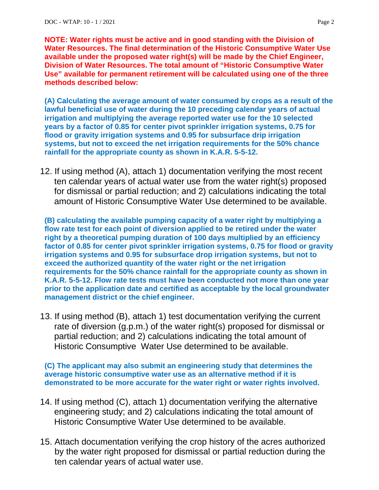**NOTE: Water rights must be active and in good standing with the Division of Water Resources. The final determination of the Historic Consumptive Water Use available under the proposed water right(s) will be made by the Chief Engineer, Division of Water Resources. The total amount of "Historic Consumptive Water Use" available for permanent retirement will be calculated using one of the three methods described below:** 

**(A) Calculating the average amount of water consumed by crops as a result of the lawful beneficial use of water during the 10 preceding calendar years of actual irrigation and multiplying the average reported water use for the 10 selected years by a factor of 0.85 for center pivot sprinkler irrigation systems, 0.75 for flood or gravity irrigation systems and 0.95 for subsurface drip irrigation systems, but not to exceed the net irrigation requirements for the 50% chance rainfall for the appropriate county as shown in K.A.R. 5-5-12.** 

12. If using method (A), attach 1) documentation verifying the most recent ten calendar years of actual water use from the water right(s) proposed for dismissal or partial reduction; and 2) calculations indicating the total amount of Historic Consumptive Water Use determined to be available.

**(B) calculating the available pumping capacity of a water right by multiplying a flow rate test for each point of diversion applied to be retired under the water right by a theoretical pumping duration of 100 days multiplied by an efficiency factor of 0.85 for center pivot sprinkler irrigation systems, 0.75 for flood or gravity irrigation systems and 0.95 for subsurface drop irrigation systems, but not to exceed the authorized quantity of the water right or the net irrigation requirements for the 50% chance rainfall for the appropriate county as shown in K.A.R. 5-5-12. Flow rate tests must have been conducted not more than one year prior to the application date and certified as acceptable by the local groundwater management district or the chief engineer.** 

13. If using method (B), attach 1) test documentation verifying the current rate of diversion (g.p.m.) of the water right(s) proposed for dismissal or partial reduction; and 2) calculations indicating the total amount of Historic Consumptive Water Use determined to be available.

**(C) The applicant may also submit an engineering study that determines the average historic consumptive water use as an alternative method if it is demonstrated to be more accurate for the water right or water rights involved.** 

- 14. If using method (C), attach 1) documentation verifying the alternative engineering study; and 2) calculations indicating the total amount of Historic Consumptive Water Use determined to be available.
- 15. Attach documentation verifying the crop history of the acres authorized by the water right proposed for dismissal or partial reduction during the ten calendar years of actual water use.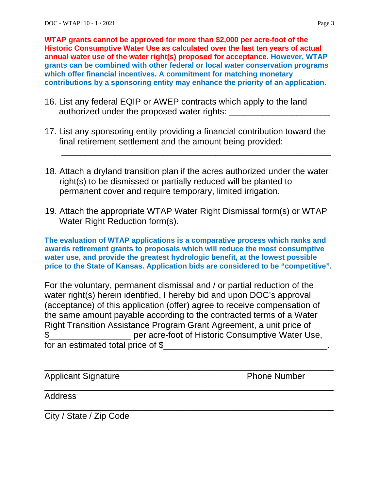**WTAP grants cannot be approved for more than \$2,000 per acre-foot of the Historic Consumptive Water Use as calculated over the last ten years of actual annual water use of the water right(s) proposed for acceptance. However, WTAP grants can be combined with other federal or local water conservation programs which offer financial incentives. A commitment for matching monetary contributions by a sponsoring entity may enhance the priority of an application.** 

- 16. List any federal EQIP or AWEP contracts which apply to the land authorized under the proposed water rights:
- 17. List any sponsoring entity providing a financial contribution toward the final retirement settlement and the amount being provided:

 $\frac{1}{\sqrt{2}}$  ,  $\frac{1}{\sqrt{2}}$  ,  $\frac{1}{\sqrt{2}}$  ,  $\frac{1}{\sqrt{2}}$  ,  $\frac{1}{\sqrt{2}}$  ,  $\frac{1}{\sqrt{2}}$  ,  $\frac{1}{\sqrt{2}}$  ,  $\frac{1}{\sqrt{2}}$  ,  $\frac{1}{\sqrt{2}}$  ,  $\frac{1}{\sqrt{2}}$  ,  $\frac{1}{\sqrt{2}}$  ,  $\frac{1}{\sqrt{2}}$  ,  $\frac{1}{\sqrt{2}}$  ,  $\frac{1}{\sqrt{2}}$  ,  $\frac{1}{\sqrt{2}}$ 

- 18. Attach a dryland transition plan if the acres authorized under the water right(s) to be dismissed or partially reduced will be planted to permanent cover and require temporary, limited irrigation.
- 19. Attach the appropriate WTAP Water Right Dismissal form(s) or WTAP Water Right Reduction form(s).

**The evaluation of WTAP applications is a comparative process which ranks and awards retirement grants to proposals which will reduce the most consumptive water use, and provide the greatest hydrologic benefit, at the lowest possible price to the State of Kansas. Application bids are considered to be "competitive".**

For the voluntary, permanent dismissal and / or partial reduction of the water right(s) herein identified, I hereby bid and upon DOC's approval (acceptance) of this application (offer) agree to receive compensation of the same amount payable according to the contracted terms of a Water Right Transition Assistance Program Grant Agreement, a unit price of \$\_\_\_\_\_\_\_\_\_\_\_\_\_\_\_\_\_ per acre-foot of Historic Consumptive Water Use, for an estimated total price of \$

\_\_\_\_\_\_\_\_\_\_\_\_\_\_\_\_\_\_\_\_\_\_\_\_\_\_\_\_\_\_\_\_\_\_\_\_\_\_\_\_\_\_\_\_\_\_\_\_\_\_\_\_\_\_\_\_\_\_\_\_

 $\overline{\phantom{a}}$  , and the contract of the contract of the contract of the contract of the contract of the contract of the contract of the contract of the contract of the contract of the contract of the contract of the contrac

 $\overline{\phantom{a}}$  , and the contract of the contract of the contract of the contract of the contract of the contract of the contract of the contract of the contract of the contract of the contract of the contract of the contrac

Applicant Signature **Phone Number** 

Address

City / State / Zip Code